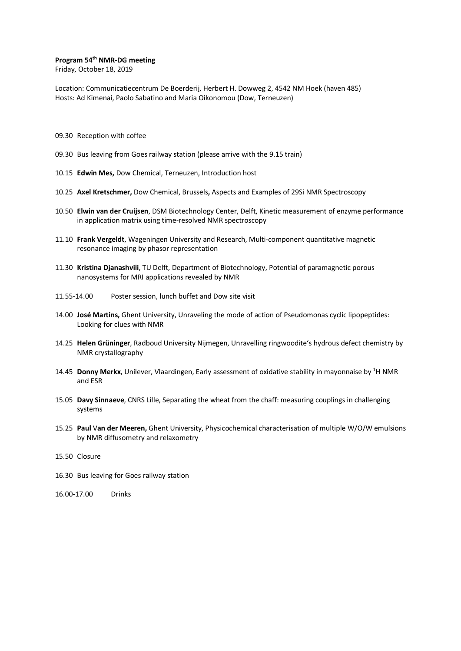#### **Program 54th NMR-DG meeting**

Friday, October 18, 2019

Location: Communicatiecentrum De Boerderij, Herbert H. Dowweg 2, 4542 NM Hoek (haven 485) Hosts: Ad Kimenai, Paolo Sabatino and Maria Oikonomou (Dow, Terneuzen)

- 09.30 Reception with coffee
- 09.30 Bus leaving from Goes railway station (please arrive with the 9.15 train)
- 10.15 **Edwin Mes,** Dow Chemical, Terneuzen, Introduction host
- 10.25 **Axel Kretschmer,** Dow Chemical, Brussels**,** Aspects and Examples of 29Si NMR Spectroscopy
- 10.50 **Elwin van der Cruijsen**, DSM Biotechnology Center, Delft, Kinetic measurement of enzyme performance in application matrix using time-resolved NMR spectroscopy
- 11.10 **Frank Vergeldt**, Wageningen University and Research, Multi-component quantitative magnetic resonance imaging by phasor representation
- 11.30 **Kristina Djanashvili**, TU Delft, Department of Biotechnology, Potential of paramagnetic porous nanosystems for MRI applications revealed by NMR
- 11.55-14.00 Poster session, lunch buffet and Dow site visit
- 14.00 **José Martins,** Ghent University, Unraveling the mode of action of Pseudomonas cyclic lipopeptides: Looking for clues with NMR
- 14.25 **Helen Grüninger**, Radboud University Nijmegen, Unravelling ringwoodite's hydrous defect chemistry by NMR crystallography
- 14.45 Donny Merkx, Unilever, Vlaardingen, Early assessment of oxidative stability in mayonnaise by <sup>1</sup>H NMR and ESR
- 15.05 **Davy Sinnaeve**, CNRS Lille, Separating the wheat from the chaff: measuring couplings in challenging systems
- 15.25 **Paul** V**an der Meeren,** Ghent University, Physicochemical characterisation of multiple W/O/W emulsions by NMR diffusometry and relaxometry
- 15.50 Closure
- 16.30 Bus leaving for Goes railway station
- 16.00-17.00 Drinks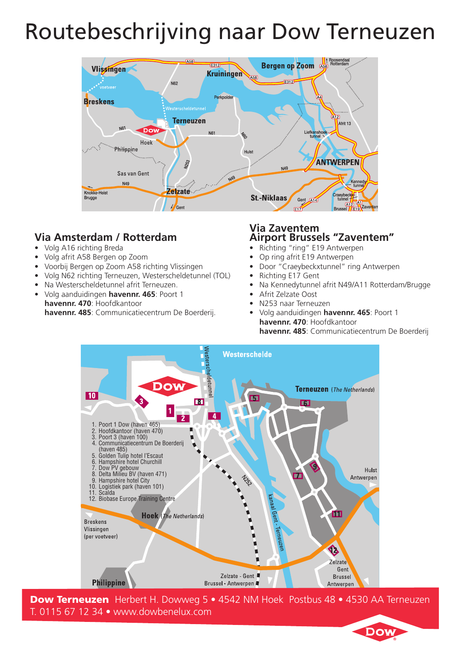# Routebeschrijving naar Dow Terneuzen



## **Via Amsterdam / Rotterdam**

- • Volg A16 richting Breda
- • Volg afrit A58 Bergen op Zoom
- • Voorbij Bergen op Zoom A58 richting Vlissingen
- • Volg N62 richting Terneuzen, Westerscheldetunnel (TOL)
- Na Westerscheldetunnel afrit Terneuzen.
- • Volg aanduidingen **havennr. 465**: Poort 1 **havennr. 470**: Hoofdkantoor **havennr. 485**: Communicatiecentrum De Boerderij.

#### **Via Zaventem Airport Brussels "Zaventem"**

- Richting "ring" E19 Antwerpen
- Op ring afrit E19 Antwerpen
- Door "Craeybeckxtunnel" ring Antwerpen
- Richting E17 Gent
- Na Kennedytunnel afrit N49/A11 Rotterdam/Brugge
- Afrit Zelzate Oost
- N253 naar Terneuzen
- Volg aanduidingen havennr. 465: Poort 1 **havennr. 470**: Hoofdkantoor **havennr. 485**: Communicatiecentrum De Boerderij



Dow Terneuzen Herbert H. Dowweg 5 • 4542 NM Hoek Postbus 48 • 4530 AA Terneuzen T. 0115 67 12 34 • www.dowbenelux.com